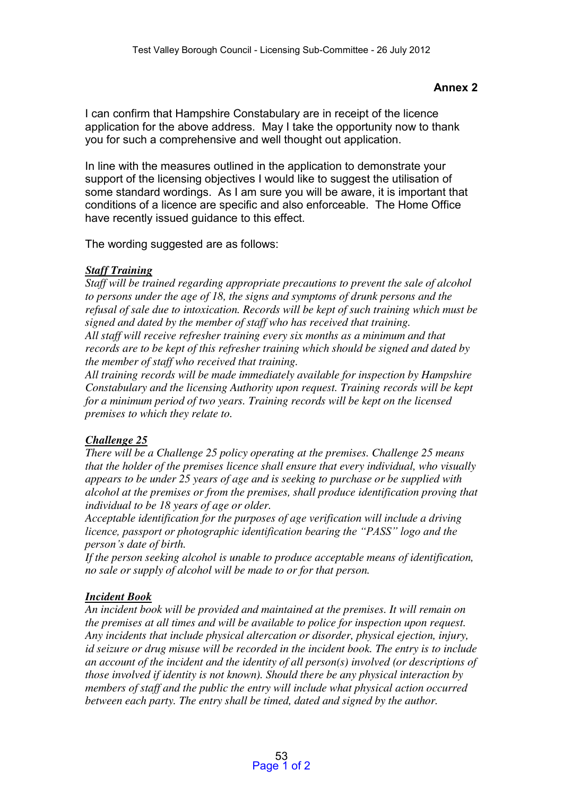#### **Annex 2**

I can confirm that Hampshire Constabulary are in receipt of the licence application for the above address. May I take the opportunity now to thank you for such a comprehensive and well thought out application.

In line with the measures outlined in the application to demonstrate your support of the licensing objectives I would like to suggest the utilisation of some standard wordings. As I am sure you will be aware, it is important that conditions of a licence are specific and also enforceable. The Home Office have recently issued guidance to this effect.

The wording suggested are as follows:

#### **Staff Training**

Staff will be trained regarding appropriate precautions to prevent the sale of alcohol to persons under the age of 18, the signs and symptoms of drunk persons and the refusal of sale due to intoxication. Records will be kept of such training which must be signed and dated by the member of staff who has received that training.

All staff will receive refresher training every six months as a minimum and that records are to be kept of this refresher training which should be signed and dated by the member of staff who received that training.

All training records will be made immediately available for inspection by Hampshire Constabulary and the licensing Authority upon request. Training records will be kept for a minimum period of two years. Training records will be kept on the licensed premises to which they relate to.

### Challenge 25

There will be a Challenge 25 policy operating at the premises. Challenge 25 means that the holder of the premises licence shall ensure that every individual, who visually appears to be under 25 years of age and is seeking to purchase or be supplied with alcohol at the premises or from the premises, shall produce identification proving that individual to be 18 years of age or older.

Acceptable identification for the purposes of age verification will include a driving *licence, passport or photographic identification bearing the "PASS" logo and the person's* date of birth.

If the person seeking alcohol is unable to produce acceptable means of identification, no sale or supply of alcohol will be made to or for that person.

### Incident Book

An incident book will be provided and maintained at the premises. It will remain on the premises at all times and will be available to police for inspection upon request. Any incidents that include physical altercation or disorder, physical ejection, injury, id seizure or drug misuse will be recorded in the incident book. The entry is to include an account of the incident and the identity of all person(s) involved (or descriptions of those involved if identity is not known). Should there be any physical interaction by members of staff and the public the entry will include what physical action occurred between each party. The entry shall be timed, dated and signed by the author.